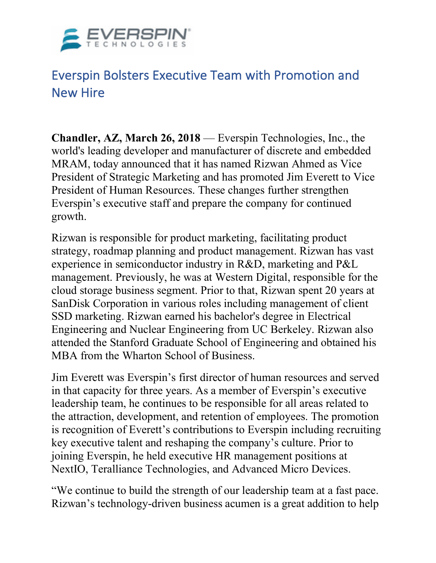

## Everspin Bolsters Executive Team with Promotion and New Hire

**Chandler, AZ, March 26, 2018** — Everspin Technologies, Inc., the world's leading developer and manufacturer of discrete and embedded MRAM, today announced that it has named Rizwan Ahmed as Vice President of Strategic Marketing and has promoted Jim Everett to Vice President of Human Resources. These changes further strengthen Everspin's executive staff and prepare the company for continued growth.

Rizwan is responsible for product marketing, facilitating product strategy, roadmap planning and product management. Rizwan has vast experience in semiconductor industry in R&D, marketing and P&L management. Previously, he was at Western Digital, responsible for the cloud storage business segment. Prior to that, Rizwan spent 20 years at SanDisk Corporation in various roles including management of client SSD marketing. Rizwan earned his bachelor's degree in Electrical Engineering and Nuclear Engineering from UC Berkeley. Rizwan also attended the Stanford Graduate School of Engineering and obtained his MBA from the Wharton School of Business.

Jim Everett was Everspin's first director of human resources and served in that capacity for three years. As a member of Everspin's executive leadership team, he continues to be responsible for all areas related to the attraction, development, and retention of employees. The promotion is recognition of Everett's contributions to Everspin including recruiting key executive talent and reshaping the company's culture. Prior to joining Everspin, he held executive HR management positions at NextIO, Teralliance Technologies, and Advanced Micro Devices.

"We continue to build the strength of our leadership team at a fast pace. Rizwan's technology-driven business acumen is a great addition to help